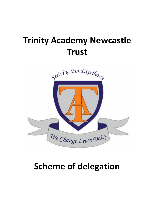# **Trinity Academy Newcastle Trust**



## **Scheme of delegation**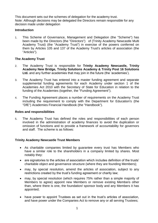This document sets out the schemes of delegation for the academy trust. Note: Although decisions may be delegated the Directors remain responsible for any decision made under delegation

## **Introduction**

1. This Scheme of Governance, Management and Delegation (the "Scheme") has been made by the Directors (the "Directors") of (Trinity Academy Newcastle Multi Academy Trust) (the "Academy Trust") in exercise of the powers conferred on them by Articles 105 and 137 of the Academy Trust's articles of association (the "Articles").

## **The Academy Trust**

- 2. The Academy Trust is responsible for **Trinity Academy Newcastle, Trinity Academy New Bridge, Trinity Solutions Academy & Trinity Post 16 Solutions Ltd.** and any further academies that may join in the future (the 'academies').
- 3. The Academy Trust has entered into a master funding agreement and separate supplemental funding agreements for each Academy under section 1 of the Academies Act 2010 with the Secretary of State for Education in relation to the funding of the Academies (together, the "Funding Agreement").
- 4. The Funding Agreement places a number of requirements on the Academy Trust including the requirement to comply with the Department for Education's (the "DfE") Academies Financial Handbook (the "Handbook").

## **Roles and responsibilities**

5. The Academy Trust has defined the roles and responsibilities of each person involved in the administration of academy finances to avoid the duplication or omission of functions and to provide a framework of accountability for governors and staff. The scheme is as follows:

## **Trinity Academy Newcastle Trust Members**

- As charitable companies limited by guarantee every trust has Members who have a similar role to the shareholders in a company limited by shares. Most notably they:
- are signatories to the articles of association which includes definition of the trusts' charitable object and governance structure (where they are founding Members);
- may, by special resolution, amend the articles of association, subject to any restrictions created by the trust's funding agreement or charity law;
- may, by special resolution (which requires 75% rather than a simple majority of Members to agree) appoint new Members or remove existing Members other than, where there is one, the foundation/ sponsor body and any Members it has appointed;
- have power to appoint Trustees as set out in the trust's articles of association, and have power under the Companies Act to remove any or all serving Trustees;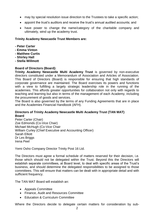- may by special resolution issue direction to the Trustees to take a specific action;
- appoint the trust's auditors and receive the trust's annual audited accounts; and
- have power to change the name/category of the charitable company and ultimately, wind up the academy trust.

## **Trinity Academy Newcastle Trust Members are:**

- **- Peter Carter**
- **- Emma Vinton**
- **- Matthew Curtis**
- **- Shirley Hall**
- **- Stella Willmott**

## **Board of Directors (Board):**

**Trinity Academy Newcastle Multi Academy Trust** is governed by non-executive directors constituted under a Memorandum of Association and Articles of Association. This Board of Directors (Board) is responsible for ensuring that high standards of corporate governance are maintained. The Board exercises its powers and functions with a view to fulfilling a largely strategic leadership role in the running of the academies. This affords greater opportunities for collaboration not only with regards to teaching and learning but also in terms of the management of each Academy, including the procurement of goods and services.

The Board is also governed by the terms of any Funding Agreements that are in place and the Academies Financial Handbook (AFH).

## **Directors of Trinity Academy Newcastle Multi Academy Trust (TAN MAT) Board**

Peter Carter (Chair) Zoe Edmonds (Co-Vice Chair) Michael McHugh (Co-Vice Chair William Curley (Chief Executive and Accounting Officer) Sarah Elliott Dr Les Briggs Irena Peel

Yemi Osho Company Director Trinity Post 16 Ltd.

The Directors must agree a formal schedule of matters reserved for their decision, i.e. those which should not be delegated within the Trust. Beyond this the Directors will establish separate committees, at Board level, to deal with specific areas of the Trust's business, and should determine the delegated responsibilities to be assigned to those committees. This will ensure that matters can be dealt with in appropriate detail and with sufficient frequency.

The TAN MAT Board will establish an:

- Appeals Committee
- Finance, Audit and Resources Committee
- Education & Curriculum Committee

Where the Directors decide to delegate certain matters for consideration by sub-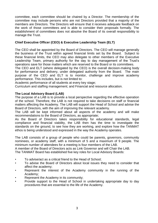committee, each committee should be chaired by a Director. The membership of the committee may include persons who are not Directors provided that a majority of the members are Directors. The Directors will ensure that it receives adequate feedback on the work of those committees and is able to consider their proposals formally. The establishment of committees does not absolve the Board of its overall responsibility to manage the Trust.

## **Chief Executive Officer (CEO) & Executive Leadership Team (ELT)**

The CEO shall be appointed by the Board of Directors. The CEO will manage generally the business of the Trust within agreed financial limits set by the Board. Subject to these financial limits, the CEO may also delegate to other members of the Executive Leadership Team, primary authority for the day to day management of the Trust's operations save for those matters which are reserved to the Board or its committees.

The CEO and ELT (where delegated by the CEO) is the overall decision-making body for performance and delivery, under delegated authority from the Board. The main purpose of the CEO and ELT is to monitor, challenge and improve academy performance. This includes, but is not limited to:

Academic performance of all students at every key stage;

Curriculum and staffing management; and Financial and resource allocation.

## **The Local Advisory Board (LAB)**

The purpose of a LAB is to provide a local perspective regarding the effective operation of the school. Therefore, the LAB is not required to take decisions on staff or financial matters affecting the Academy. The LAB will support the Head of School and advise the Board of Directors, with the aim of improving the relevant academy.

The LAB will be kept informed about all aspects of the academy and will make recommendations to the Board of Directors, as appropriate;

As the Board of Directors takes responsibility for educational standards, legal compliance and financial viability, the LAB then has the time to investigate the standards on the ground, to see how they are working, and explore how the TANMAT ethos is being understood and expressed in the way the Academy operates.

The LAB consists of a group of people who could be parents, governors, community nominees, or academy staff, with a minimum of 5 and a maximum of 9 people. The minimum number of attendees for a meeting is four members of the LAB.

A member of the Board of Directors acts as Link Governor and will Chair the LAB.

The TANMAT Board has established five key roles for Local Advisory Boards:

- To advise/act as a critical friend to the Head of School;
- To advise the Board of Directors about local issues they need to consider that affect the academy;
- Represent the interest of the Academy community in the running of the Academy;
- Represent the Academy in its community;
- Provide support to the Head of School in undertaking appropriate day to day procedures that are essential to the life of the Academy.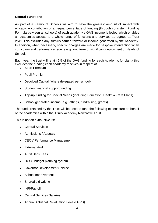## **Central Functions**

As part of a Family of Schools we aim to have the greatest amount of impact with efficacy. A contribution of an equal percentage of funding (through consistent Funding Formula between all schools) of each academy's GAG income is levied which enables all academies access to a whole range of functions and services as agreed at Trust level. This excludes any surplus carried forward or income generated by the Academy. In addition, when necessary, specific charges are made for bespoke intervention when curriculum and performance require e.g. long term or significant deployment of Heads of School.

Each year the trust will retain 5% of the GAG funding for each Academy, for clarity this excludes the funding each academy receives in respect of:

- Sport Premium
- Pupil Premium
- Devolved Capital (where delegated per school)
- Student financial support funding
- Top-up funding for Special Needs (including Education, Health & Care Plans)
- School generated income (e.g. lettings, fundraising, grants)

The funds retained by the Trust will be used to fund the following expenditure on behalf of the academies within the Trinity Academy Newcastle Trust

This is not an exhaustive list:

- Central Services
- Admissions / Appeals
- CEOs' Performance Management
- External Audit
- Audit Bank Fees
- HCSS budget planning system
- Governor Development Service
- School Improvement
- Shared bid writing
- HR/Payroll
- Central Services Salaries
- Annual Actuarial Revaluation Fees (LGPS)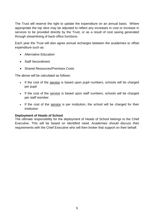The Trust will reserve the right to update the expenditure on an annual basis. Where appropriate the top slice may be adjusted to reflect any increases in cost or increase in services to be provided directly by the Trust, or as a result of cost saving generated through streamlining of back-office functions.

Each year the Trust will also agree annual recharges between the academies to offset expenditure such as:

- Alternative Education
- Staff Secondment
- Shared Resources/Premises Costs

The above will be calculated as follows:

- If the cost of the service is based upon pupil numbers, schools will be charged per pupil
- If the cost of the service is based upon staff numbers, schools will be charged per staff member
- If the cost of the service is per institution, the school will be charged for their institution

### **Deployment of Heads of School**

The ultimate responsibility for the deployment of Heads of School belongs to the Chief Executive. This will be based on identified need. Academies should discuss their requirements with the Chief Executive who will then broker that support on their behalf.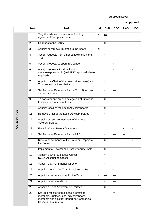|            |                |                                                                                                                                                             | <b>Approval Level</b>     |                           |                           |                          |              |
|------------|----------------|-------------------------------------------------------------------------------------------------------------------------------------------------------------|---------------------------|---------------------------|---------------------------|--------------------------|--------------|
|            |                |                                                                                                                                                             |                           |                           |                           | <b>Unsupported</b>       |              |
|            | Area           | <b>Task</b>                                                                                                                                                 | м                         | <b>BoD</b>                | <b>CEO</b>                | <b>LAB</b>               | <b>HOS</b>   |
|            | 1              | Vary the articles of association/funding<br>agreement/Company Name                                                                                          | ×                         | $\leftarrow$              |                           |                          |              |
|            | 2              | Changes to the SoDA                                                                                                                                         |                           | $\mathsf{x}$              | $\leftarrow$              |                          |              |
|            | 3              | Appoint or remove Trustees to the Board                                                                                                                     | $\boldsymbol{\mathsf{x}}$ | $\leftarrow$              | $\leftarrow$              |                          |              |
|            | $\overline{4}$ | Accept requests from other schools to join the<br>Trust                                                                                                     |                           | ×                         | $\leftarrow$              |                          |              |
|            | 5              | Accept proposal to open free school                                                                                                                         |                           | ×                         | $\leftarrow$              |                          |              |
|            | 6              | Accept proposals for significant<br>changes/sponsorship (with RSC approval where<br>required)                                                               |                           | ×                         | $\leftarrow$              | $\leftarrow$             | $\leftarrow$ |
|            | $\overline{7}$ | Appoint the Chair of the board, vice chair(s) and<br>Trust sub-committee chairs                                                                             |                           | $\boldsymbol{\mathsf{x}}$ |                           |                          |              |
|            | 8              | Set Terms of Reference for the Trust Board and<br>sub committees                                                                                            |                           | ×                         | $\leftarrow$              |                          |              |
|            | 9              | To consider and amend delegation of functions<br>to individuals or committees                                                                               |                           | ×                         |                           |                          |              |
|            | 10             | Appoint Chair of the Local Advisory boards                                                                                                                  |                           | ×                         | $\leftarrow$              | $\leftarrow$             |              |
|            | 11             | Remove Chair of the Local Advisory boards                                                                                                                   |                           | ×                         | $\leftarrow$              |                          |              |
| GOVERNANCE | 12             | Appoint or remove members of the Local<br><b>Advisory Boards</b>                                                                                            |                           |                           | $\boldsymbol{\mathsf{x}}$ | $\overline{\phantom{m}}$ |              |
|            | 13             | <b>Elect Staff and Parent Governors</b>                                                                                                                     |                           |                           |                           | ×                        | $\leftarrow$ |
|            | 14             | Set Terms of Reference for the LABs                                                                                                                         |                           | ×                         | $\leftarrow$              | $\leftarrow$             |              |
|            | 15             | Review performance of the LABs and report to<br>the Board                                                                                                   |                           | $\boldsymbol{\mathsf{x}}$ | $\leftarrow$              | $\leftarrow$             | $\leftarrow$ |
|            | 16             | Implement a Governance Accountability Cycle                                                                                                                 |                           | ×                         | $\leftarrow$              |                          |              |
|            | 17             | Appoint a Chief Executive Officer<br>(CEO)/Accounting Officer                                                                                               |                           | ×                         |                           |                          |              |
|            | 18             | Appoint a (CFO) Finance Director                                                                                                                            |                           | ×                         | $\longleftarrow$          |                          |              |
|            | 19             | Appoint Clerk to the Trust Board and LABs                                                                                                                   |                           | ×                         | $\longleftarrow$          |                          |              |
|            | 20             | Appoint external auditors for the Trust                                                                                                                     | $\pmb{\times}$            | $\leftarrow$              | $\longleftarrow$          |                          |              |
|            | 21             | Appoint internal auditors                                                                                                                                   |                           | ×                         | $\longleftarrow$          |                          |              |
|            | 22             | Appoint a Trust Achievement Partner                                                                                                                         |                           | ×                         | $\longleftarrow$          |                          |              |
|            | 23             | Set up a register of business interests for<br>members, trustees, local advisory board<br>members and all staff. Report on Companies<br>House annual review |                           |                           | $\times$                  | $\leftarrow$             |              |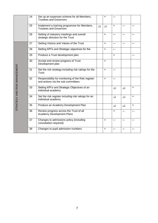|                              | 24 | Set up an expenses scheme for all Members,<br><b>Trustees and Governors</b>              |               | $\mathsf{x}$              | $\leftarrow$              |                   |                           |
|------------------------------|----|------------------------------------------------------------------------------------------|---------------|---------------------------|---------------------------|-------------------|---------------------------|
|                              | 25 | Implement a training programme for Members,<br><b>Trustees and Governors</b>             | $\Rightarrow$ | $\Rightarrow$             | $\mathsf{x}$              | $\leftarrow$      | $\leftarrow$              |
|                              | 26 | Setting of statutory meetings and overall<br>strategic direction for the Trust           |               | $\boldsymbol{\mathsf{x}}$ | $\leftarrow$              | $\leftarrow$      | $\leftarrow$              |
|                              | 27 | Setting Visions and Values of the Trust                                                  |               | ×                         | $\leftarrow$              | $\leftarrow$      | $\leftarrow$              |
|                              | 28 | Setting KPI's and Strategic objectives for the                                           |               | ×                         | $\leftarrow$              |                   |                           |
|                              | 29 | Produce a Trust development plan                                                         |               |                           | $\boldsymbol{\mathsf{x}}$ |                   | $\leftarrow$              |
|                              | 30 | Accept and review progress of Trust<br>Development plan                                  |               | $\boldsymbol{\mathsf{x}}$ |                           |                   |                           |
| STRATEGY AND RISK MANAGEMENT | 31 | Set the risk strategy including risk ratings for the<br>Trust                            |               | $\boldsymbol{\mathsf{x}}$ | $\leftarrow$              |                   |                           |
|                              | 32 | Responsibility for monitoring of the Risk register<br>and actions via the sub committees |               | ×                         | $\leftarrow$              |                   |                           |
|                              | 33 | Setting KPI's and Strategic Objectives of an<br>individual academy                       |               |                           | $\rightarrow$             | $\rightarrow$     | ×                         |
|                              | 34 | Set the risk register including risk ratings for an<br>individual academy                |               |                           | $\rightarrow$             | $\rightarrow$     | ×                         |
|                              | 35 | Produce an Academy Development Plan                                                      |               |                           | $\Rightarrow$             | $\longrightarrow$ | $\boldsymbol{\mathsf{x}}$ |
|                              | 36 | Review progress across the Trust of all<br><b>Academy Development Plans</b>              |               |                           | $\times$                  | $\leftarrow$      | $\leftarrow$              |
|                              | 37 | Changes to admissions policy (including<br>consultation required)                        |               | ×                         | $\longleftarrow$          | $\leftarrow$      | $\leftarrow$              |
|                              | 38 | Changes to pupil admission numbers                                                       |               | ×                         | $\leftarrow$              | $\leftarrow$      | $\leftarrow$              |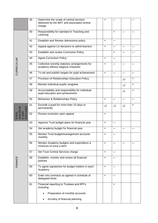|                                         | 39 | Determine the scope of central services<br>delivered by the MAT and associated central<br>charge | ×                         | $\leftarrow$              |                  |                          |
|-----------------------------------------|----|--------------------------------------------------------------------------------------------------|---------------------------|---------------------------|------------------|--------------------------|
|                                         | 40 | Responsibility for standard in Teaching and<br>Learning                                          |                           | $\boldsymbol{\mathsf{x}}$ | $\leftarrow$     | $\overline{\phantom{0}}$ |
|                                         | 41 | Establish and Review Admissions policy                                                           | $\boldsymbol{\mathsf{x}}$ | $\longleftarrow$          |                  |                          |
|                                         | 42 | Appeal against LA decisions to admit learners                                                    | $\boldsymbol{\mathsf{x}}$ | $\leftarrow$              | $\leftarrow$     | $\leftarrow$             |
|                                         | 43 | Establish and review Curriculum Policy                                                           |                           | ×                         | $\longleftarrow$ | $\leftarrow$             |
|                                         | 44 | <b>Agree Curriculum Policy</b>                                                                   | $\pmb{\times}$            | $\longleftarrow$          |                  |                          |
| CURRICULUM                              | 45 | Collective worship statutory arrangements for<br>academy without religious character             | $\boldsymbol{\mathsf{x}}$ | $\leftarrow$              | $\leftarrow$     | $\leftarrow$             |
|                                         | 46 | To set and publish targets for pupil achievement                                                 | $\boldsymbol{\mathsf{x}}$ | $\longleftarrow$          | $\longleftarrow$ | $\leftarrow$             |
|                                         | 47 | Provision of Relationships Education Policy                                                      |                           |                           | $\rightarrow$    | ×                        |
|                                         | 48 | Monitor individual pupils' progress                                                              |                           |                           | $\rightarrow$    | ×                        |
|                                         | 49 | Accountability and responsibility for individual<br>pupil education and achievement              |                           |                           | $\rightarrow$    | $\times$                 |
|                                         | 50 | Behaviour & Relationships Policy                                                                 | ×                         | $\longleftarrow$          | $\leftarrow$     | $\leftarrow$             |
| PUPIL<br>DISCIPLIN<br>E AND<br>EXCLUSIO | 51 | Exclude a pupil for more than 15 days or<br>permanently                                          | $\rightarrow$             | $\rightarrow$             | $\Rightarrow$    | $\pmb{\times}$           |
|                                         | 52 | Review exclusion upon appeal                                                                     | ×                         |                           |                  |                          |
|                                         | 53 | Approve Trust budget plans for financial year                                                    | $\boldsymbol{\mathsf{x}}$ | $\leftarrow$              |                  |                          |
|                                         | 54 | Set academy budget for financial year                                                            | $\boldsymbol{\mathsf{x}}$ | $\leftarrow$              | $\leftarrow$     | $\leftarrow$             |
|                                         | 55 | Monitor Trust budget/management accounts<br>monthly                                              | ×                         | $\leftarrow$              |                  |                          |
|                                         | 56 | Monitor Academy budgets and expenditure a<br>minimum of once a term                              | $\boldsymbol{\mathsf{x}}$ | $\leftarrow$              | $\leftarrow$     | $\leftarrow$             |
|                                         | 57 | Set Trust Central Services charge                                                                | $\pmb{\times}$            | $\longleftarrow$          |                  |                          |
| FINANCE                                 | 58 | Establish, monitor and review all financial<br>policies                                          | ×                         | $\longleftarrow$          |                  |                          |
|                                         | 59 | To agree signatories for budget holders in each<br>Academy                                       | $\boldsymbol{\mathsf{x}}$ | $\longleftarrow$          |                  |                          |
|                                         | 60 | Enter into contracts as agreed in schedule of<br>delegated limits                                | ×                         | $\leftarrow$              |                  |                          |
|                                         | 61 | Financial reporting to Trustees and KPI's<br>including                                           |                           | $\pmb{\times}$            |                  |                          |
|                                         |    | Preparation of monthly accounts                                                                  |                           |                           |                  |                          |
|                                         |    | Scrutiny of financial planning                                                                   |                           |                           |                  |                          |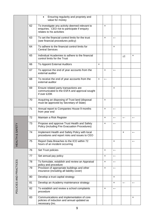|                        |    | Ensuring regularity and propriety and<br>$\bullet$<br>value for money                                                       |                           |                           |                          |                           |                           |
|------------------------|----|-----------------------------------------------------------------------------------------------------------------------------|---------------------------|---------------------------|--------------------------|---------------------------|---------------------------|
|                        | 62 | To investigate any activity deemed relevant to<br>enquiries. CEO not to participate if enquiry<br>relates to his activities |                           | $\boldsymbol{\mathsf{x}}$ |                          |                           |                           |
|                        | 63 | To set the financial control limits for the trust<br>(see financial procedures policy)                                      |                           | $\boldsymbol{\mathsf{x}}$ | $\leftarrow$             |                           |                           |
|                        | 64 | To adhere to the financial control limits for<br><b>Central Services</b>                                                    |                           |                           | ×                        |                           |                           |
|                        | 65 | Individual Academies to adhere to the financial<br>control limits for the Trust                                             |                           |                           |                          | $\Rightarrow$             | $\boldsymbol{\mathsf{x}}$ |
|                        | 66 | To Appoint External Auditors                                                                                                | $\boldsymbol{\mathsf{x}}$ |                           |                          |                           |                           |
|                        | 67 | To approve the end of year accounts from the<br>external auditor                                                            |                           | ×                         | $\overline{\phantom{m}}$ |                           |                           |
|                        | 68 | To receive the end of year accounts from the<br>external auditor                                                            | $\pmb{\times}$            | $\leftarrow$              |                          |                           |                           |
|                        | 69 | Ensure related party transactions are<br>communicated to the ESFA and approval sought<br>if over £20K                       |                           |                           | ×                        |                           |                           |
|                        | 70 | Acquiring an disposing of Trust land (disposal<br>must be approved by Secretary of State)                                   |                           | ×                         |                          |                           |                           |
|                        | 71 | Annual report to Companies House 9 months<br>from year end                                                                  |                           | $\boldsymbol{\mathsf{x}}$ | $\leftarrow$             |                           |                           |
|                        | 72 | Maintain a Risk Register                                                                                                    |                           | $\boldsymbol{\mathsf{x}}$ | $\leftarrow$             | $\leftarrow$              | $\leftarrow$              |
| SAFETY                 | 73 | Propose and approve Trust Health and Safety<br>Policy (including Fire Evacuation Procedures)                                |                           | ×                         | $\leftarrow$             |                           |                           |
|                        | 74 | Implement Health and Safety Policy with local<br>procedures and report risks and issues to CEO                              |                           |                           |                          | $\boldsymbol{\mathsf{x}}$ |                           |
| HEALTH &               | 75 | Report Data Breaches to the ICO within 72<br>hours of an incident occurring                                                 |                           |                           | ×                        |                           | $\leftarrow$              |
|                        | 76 | Set Trust policies                                                                                                          |                           | $\boldsymbol{\mathsf{x}}$ | $\leftarrow$             |                           |                           |
|                        | 77 | Set annual pay policy                                                                                                       |                           | $\boldsymbol{\mathsf{x}}$ | $\leftarrow$             |                           |                           |
|                        | 78 | To formulate, establish and review an Appraisal<br>policy and procedure                                                     |                           | $\pmb{\times}$            | $\leftarrow$             |                           |                           |
| POLICIES AND PRACTICES | 79 | Provision of appropriate buildings and other<br>insurance (including all liability cover)                                   |                           | $\pmb{\times}$            | $\leftarrow$             |                           |                           |
|                        | 80 | Develop a trust capital strategy                                                                                            |                           |                           | ×                        |                           |                           |
|                        | 81 | Develop an Academy maintenance strategy                                                                                     |                           |                           | ×                        | $\leftarrow$              | $\leftarrow$              |
|                        | 82 | To establish and review a school complaints<br>procedure                                                                    |                           | $\boldsymbol{\mathsf{x}}$ | $\leftarrow$             |                           |                           |
|                        | 83 | Communications and implementation of core<br>policies of induction and annual updated as<br>necessary (inc.                 |                           |                           |                          |                           | $\times$                  |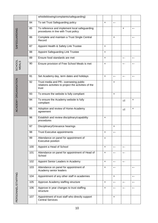|                      |     | whistleblowing/complaints/safeguarding)                                                                 |                           |                  |                |                |
|----------------------|-----|---------------------------------------------------------------------------------------------------------|---------------------------|------------------|----------------|----------------|
|                      | 84  | To set Trust Safeguarding policy                                                                        | $\boldsymbol{\mathsf{x}}$ | $\leftarrow$     |                |                |
|                      | 85  | To reference and implement local safeguarding<br>procedures in line with Trust policy                   |                           |                  | $\pmb{\times}$ | $\leftarrow$   |
| SAFEGUARDING         | 86  | Complete and maintain a Trust Single Central<br>Record                                                  |                           | ×                |                | $\leftarrow$   |
|                      | 87  | Appoint Health & Safety Link Trustee                                                                    | $\boldsymbol{\mathsf{x}}$ |                  |                |                |
|                      | 88  | <b>Appoint Safeguarding Link Trustee</b>                                                                | $\boldsymbol{\mathsf{x}}$ |                  |                |                |
|                      | 89  | Ensure food standards are met                                                                           | $\boldsymbol{\mathsf{x}}$ |                  | $\leftarrow$   | $\leftarrow$   |
| SCHOOL<br>MEALS      | 90  | Ensure provision of Free School Meals is met                                                            | $\pmb{\times}$            |                  | $\leftarrow$   | $\leftarrow$   |
|                      | 91  | Set Academy day, term dates and holidays                                                                | $\boldsymbol{\mathsf{x}}$ | $\leftarrow$     | $\leftarrow$   | $\leftarrow$   |
| ACADEMY ORGANISATION | 92  | Trust media and PR- overseeing public<br>relations activities to project the activities of the<br>trust |                           | ×                |                |                |
|                      | 93  | To ensure the website is fully compliant                                                                |                           | ×                |                |                |
|                      | 94  | To ensure the Academy website is fully<br>compliant                                                     |                           |                  | $\rightarrow$  | ×              |
|                      | 95  | Adoption and review of Home-Academy<br>agreement                                                        |                           |                  | $\Rightarrow$  | $\pmb{\times}$ |
|                      | 96  | Establish and review disciplinary/capability<br>procedures                                              | $\boldsymbol{\mathsf{x}}$ |                  |                |                |
|                      | 97  | Disciplinary/Grievance hearings                                                                         |                           | ×                |                |                |
|                      | 98  | <b>Trust Executive appointments</b>                                                                     | $\pmb{\times}$            | $\leftarrow$     |                |                |
|                      | 99  | Attendance on panel for appointment of<br>Executive position                                            | $\boldsymbol{\mathsf{x}}$ |                  |                |                |
|                      | 100 | Appoint a Head of School                                                                                | $\boldsymbol{\mathsf{x}}$ | $\leftarrow$     | $\leftarrow$   |                |
|                      | 101 | Attendance on panel for appointment of Head of<br>School                                                | $\pmb{\times}$            | $\longleftarrow$ | $\leftarrow$   |                |
|                      | 102 | Appoint Senior Leaders in Academy                                                                       | $\boldsymbol{\mathsf{x}}$ | $\longleftarrow$ | $\leftarrow$   |                |
|                      | 103 | Attendance on panel for appointment of<br>Academy senior leaders                                        | $\pmb{\times}$            | $\leftarrow$     |                | $\leftarrow$   |
|                      | 104 | Appointment of any other staff in academies                                                             |                           | ×                |                | $\leftarrow$   |
|                      | 105 | Approve Academy staffing structure                                                                      | $\boldsymbol{\mathsf{x}}$ | $\leftarrow$     | $\leftarrow$   | $\leftarrow$   |
| PERSONNEL/STAFFING   | 106 | Approve in year changes to trust staffing<br>structure                                                  | $\boldsymbol{\mathsf{x}}$ | $\leftarrow$     | $\leftarrow$   | $\leftarrow$   |
|                      | 107 | Appointment of trust staff who directly support<br><b>Central Services</b>                              |                           | ×                |                |                |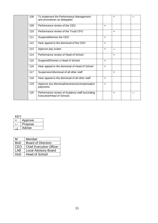|  | 108 | To implement the Performance Management<br>and procedures as delegated      |                           | $\boldsymbol{\mathsf{x}}$ | $\leftarrow$ |
|--|-----|-----------------------------------------------------------------------------|---------------------------|---------------------------|--------------|
|  | 109 | Performance review of the CEO                                               | $\mathsf{x}$              |                           |              |
|  | 110 | Performance review of the Trust/ CFO                                        |                           | $\boldsymbol{\mathsf{x}}$ |              |
|  | 111 | Suspend/dismiss the CEO                                                     | $\mathsf{x}$              |                           |              |
|  | 112 | Hear appeal to the dismissal of the CEO                                     | $\mathsf{x}$              |                           |              |
|  | 113 | Approve pay scales                                                          | $\mathsf{x}$              | $\leftarrow$              |              |
|  | 114 | Performance review of Head of School                                        |                           | $\boldsymbol{\mathsf{x}}$ |              |
|  | 115 | Suspend/Dismiss a Head of School                                            | $\times$                  |                           |              |
|  | 116 | Hear appeal to the dismissal of Head of School                              | $\mathsf{x}$              |                           |              |
|  | 117 | Suspension/dismissal of all other staff                                     |                           | $\boldsymbol{\mathsf{x}}$ |              |
|  | 118 | Hear appeal to the dismissal of all other staff                             | $\boldsymbol{\times}$     |                           |              |
|  | 119 | Approve any dismissal/severance/compensation<br>payments                    | $\boldsymbol{\mathsf{x}}$ |                           |              |
|  | 120 | Performance review of Academy staff (excluding<br>Executive/Head of School) |                           | $\boldsymbol{\mathsf{x}}$ | $\leftarrow$ |

KEY

| x | Approve |  |  |
|---|---------|--|--|
|   | Propose |  |  |
|   | Advise  |  |  |

| М          | Member                         |
|------------|--------------------------------|
| <b>BoD</b> | <b>Board of Directors</b>      |
| CEO        | <b>Chief Executive Officer</b> |
| LAB        | <b>Local Advisory Board</b>    |
| HoS        | <b>Head of School</b>          |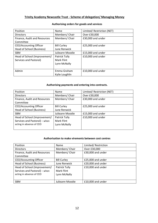## **Trinity Academy Newcastle Trust - Scheme of delegation/ Managing Money**

| Position                     | Name               | Limited/ Restriction (NET) |
|------------------------------|--------------------|----------------------------|
| <b>Directors</b>             | Members/Chair      | Over £30,000               |
| Finance, Audit and Resources | Members/Chair      | £30,000 and under          |
| Committee                    |                    |                            |
| CEO/Accounting Officer       | <b>Bill Curley</b> | £25,000 and under          |
| Head of School (Business)    | June Renwick       |                            |
| <b>SBM</b>                   | Julieann Moodie    | £15,000 and under          |
| Head of School (Improvement/ | Patrick Tully      | £10,000 and under          |
| Services and Pastoral)       | <b>Mark Flint</b>  |                            |
|                              | Lynn McNally       |                            |
|                              |                    |                            |
| Admin                        | Emma Graham        | £10,000 and under          |
|                              | Kylie Loughlin     |                            |

## **Authorising orders for goods and services**

#### **Authorising payments and entering into contracts.**

| <b>Position</b>               | Name               | Limited/ Restriction (NET) |
|-------------------------------|--------------------|----------------------------|
| <b>Directors</b>              | Members/Chair      | Over £30,000               |
| Finance, Audit and Resources  | Members/Chair      | £30,000 and under          |
| Committee                     |                    |                            |
| CEO/Accounting Officer        | <b>Bill Curley</b> | £25,000 and under          |
| Head of School (Business)     | June Renwick       |                            |
| <b>SBM</b>                    | Julieann Moodie    | £15,000 and under          |
| Head of School (Improvement/  | Patrick Tully      | £10,000 and under          |
| Services and Pastoral) - when | Mark Flint         |                            |
| acting in absence of CEO      | Lynn McNally       |                            |
|                               |                    |                            |

#### **Authorisation to make virements between cost centres**

| Position                      | Name               | Limited/Restriction |
|-------------------------------|--------------------|---------------------|
| <b>Directors</b>              | Members/ Chair     | Over £30,000        |
| Finance, Audit and Resources  | Members/ Chair     | £30,000 and under   |
| Committee                     |                    |                     |
| CEO/Accounting Officer        | <b>Bill Curley</b> | £25,000 and under   |
| Head of School (Business)     | June Renwick       | £20,000 and under   |
| Head of School (Improvement/  | Patrick Tully      | £10,000 and under   |
| Services and Pastoral) – when | Mark Flint         |                     |
| acting in absence of CEO      | Lynn McNally       |                     |
|                               |                    |                     |
| <b>SBM</b>                    | Julieann Moodie    | £10,000 and under   |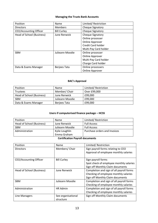#### **Managing the Trusts Bank Accounts**

| Position                  | Name                | Limited/Restriction     |
|---------------------------|---------------------|-------------------------|
| <b>Directors</b>          | <b>Members</b>      | Cheque Signatory        |
| CEO/Accounting Officer    | <b>Bill Curley</b>  | Cheque Signatory        |
| Head of School (Business) | June Renwick        | <b>Cheque Signatory</b> |
|                           |                     | Online processer        |
|                           |                     | Online Approver         |
|                           |                     | Credit Card holder      |
|                           |                     | Multi-Pay Card holder   |
| <b>SBM</b>                | Julieann Moodie     | Online processer        |
|                           |                     | Online Approver         |
|                           |                     | Multi-Pay Card holder   |
|                           |                     | Charge Card holder      |
| Data & Exams Manager      | <b>Berjees Tata</b> | Online processers       |
|                           |                     | <b>Online Approver</b>  |

## **BAC's Approval**

| <b>Position</b>           | Name            | Limited/Restriction |
|---------------------------|-----------------|---------------------|
| <b>Trustees</b>           | Member/ Chair   | Over £99,000        |
| Head of School (Business) | June Renwick    | £99,000             |
| <b>SBM</b>                | Julieann Moodie | £99,000             |
| Data & Exams Manager      | Berjees Tata    | £99,000             |

## **Users if computerised finance package – HCSS**

| Position                  | Name            | Limited/Restriction          |
|---------------------------|-----------------|------------------------------|
| Head of School (Business) | June Renwick    | <b>Full Access</b>           |
| <b>SBM</b>                | Julieann Moodie | <b>Full Access</b>           |
| Administration            | Kylie Loughlin  | Purchase orders and Invoices |
|                           | Emma Graham     |                              |

## **Certification Payroll documents**

| Position                  | Name               | Limited/Restriction                      |
|---------------------------|--------------------|------------------------------------------|
| <b>Directors</b>          | Members/Chair      | Sign payroll forms relating to CEO       |
|                           |                    | Approval of employee monthly salaries    |
| CEO/Accounting Officer    | <b>Bill Curley</b> | Sign payroll forms                       |
|                           |                    | Spot check of employee monthly salaries  |
|                           |                    | Sign off Monthly Claim documents         |
| Head of School (Business) | June Renwick       | Completion and sign of all payroll forms |
|                           |                    | Checking of employee monthly salaries    |
|                           |                    | Sign off Monthly Claim documents         |
| <b>SBM</b>                | Julieann Moodie    | Completion and sign of all payroll forms |
|                           |                    | Checking of employee monthly salaries    |
| Administration            | HR Admin           | Completion and sign of all payroll forms |
|                           |                    | Checking of employee monthly salaries    |
| Line Managers             | See organisational | Sign off Monthly Claim documents         |
|                           | structure          |                                          |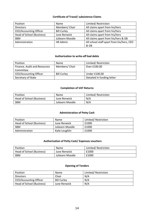#### **Certificate of Travel/ subsistence Claims**

| Position                      | Name               | Limited/Restriction                       |
|-------------------------------|--------------------|-------------------------------------------|
| <b>Directors</b>              | Members/ Chair     | All claims apart from his/hers            |
| <b>CEO/Accounting Officer</b> | <b>Bill Curley</b> | All claims apart from his/hers            |
| Head of School (Business)     | June Renwick       | All claims apart from his/hers            |
| <b>SBM</b>                    | Julieann Moodie    | All claims apart from his/hers & GB       |
| Administration                | HR Admin           | All school staff apart from his/hers, CEO |
|                               |                    | & GB                                      |

#### **Authorisation to write-off bad debts**

| Position                      | Name               | Limited/Restriction        |
|-------------------------------|--------------------|----------------------------|
| Finance, Audit and Resources  | Members/ Chair     | Over £100.00               |
| Committee                     |                    |                            |
| <b>CEO/Accounting Officer</b> | <b>Bill Curley</b> | Under £100.00              |
| Secretary of State            |                    | Detailed in funding letter |

#### **Completion of VAT Returns**

| Position                  | Name            | Limited/Restriction |
|---------------------------|-----------------|---------------------|
| Head of School (Business) | June Renwick    | N/A                 |
| <b>SBM</b>                | Julieann Moodie | N/A                 |

## **Administration of Petty Cash**

| Position                  | Name            | Limited/Restriction |
|---------------------------|-----------------|---------------------|
| Head of School (Business) | June Renwick    | £1000               |
| <b>SBM</b>                | Julieann Moodie | £1000               |
| Administration            | Kylie Loughlin  | £1000               |

## **Authorisation of Petty Cash/ Expenses vouchers**

| Position                  | <b>Name</b>     | Limited/Restriction |
|---------------------------|-----------------|---------------------|
| Head of School (Business) | June Renwick    | £1000               |
| SBM                       | Julieann Moodie | £1000               |

## **Opening of Tenders**

| Position                      | Name               | Limited/Restriction |
|-------------------------------|--------------------|---------------------|
| <b>Directors</b>              | Chair              | N/A                 |
| <b>CEO/Accounting Officer</b> | <b>Bill Curley</b> | N/A                 |
| Head of School (Business)     | June Renwick       | N/A                 |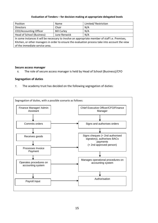#### **Evaluation of Tenders – for decision making at appropriate delegated levels**

| Position                                                                                        | Name               | Limited/Restriction |
|-------------------------------------------------------------------------------------------------|--------------------|---------------------|
| <b>Directors</b>                                                                                | Chair              | N/A                 |
| CEO/Accounting Officer                                                                          | <b>Bill Curley</b> | N/A                 |
| Head of School (Business)                                                                       | June Renwick       | N/A                 |
| In some instances it will be necessary to involve an appropriate member of staff i.e. Premises, |                    |                     |
| Kitchen, or other managers in order to ensure the evaluation process take into account the view |                    |                     |
| of the immediate service area.                                                                  |                    |                     |

#### **Secure access manager**

6. The role of secure access manager is held by Head of School (Business)/CFO

#### **Segregation of duties**

7. The academy trust has decided on the following segregation of duties: